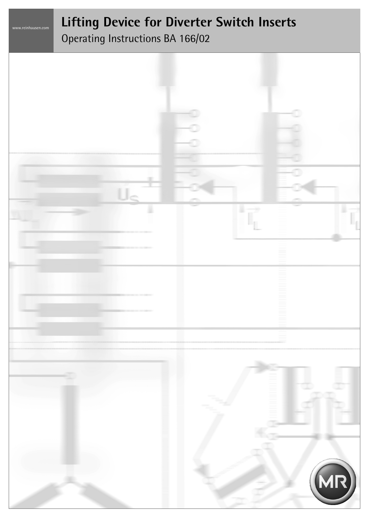# **Lifting Device for Diverter Switch Inserts**

Operating Instructions BA 166/02

www.reinhausen.com

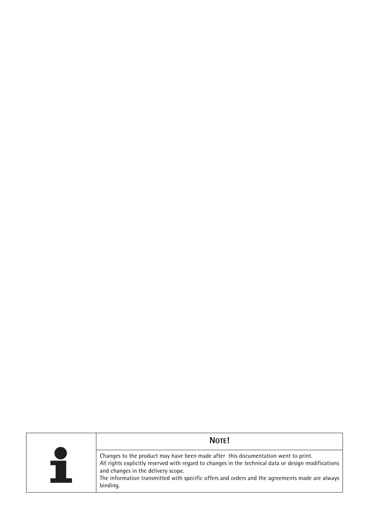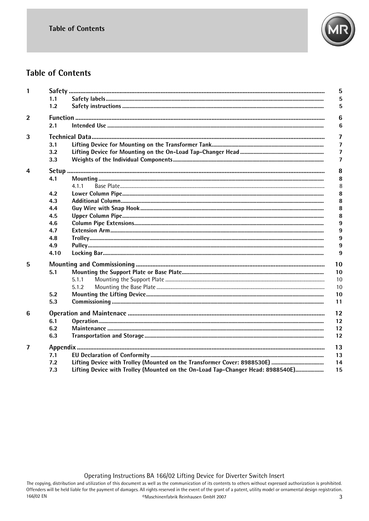

## **Table of Contents**

| 1              |      |                                                                                 | 5                       |
|----------------|------|---------------------------------------------------------------------------------|-------------------------|
|                | 1.1  |                                                                                 | 5                       |
|                | 1.2  |                                                                                 | 5                       |
| $\mathbf{2}$   |      |                                                                                 | $6\phantom{1}6$         |
|                | 2.1  |                                                                                 | $6\phantom{1}6$         |
| 3              |      |                                                                                 | $\overline{7}$          |
|                | 3.1  |                                                                                 | $\overline{7}$          |
|                | 3.2  |                                                                                 | $\overline{\mathbf{z}}$ |
|                | 3.3  |                                                                                 | $\overline{7}$          |
| 4              |      |                                                                                 | 8                       |
|                | 4.1  |                                                                                 | 8                       |
|                |      | 4 1 1                                                                           | 8                       |
|                | 4.2  |                                                                                 | 8                       |
|                | 4.3  |                                                                                 | 8                       |
|                | 4.4  |                                                                                 | 8                       |
|                | 4.5  |                                                                                 | 8                       |
|                | 4.6  |                                                                                 | 9                       |
|                | 4.7  |                                                                                 | 9                       |
|                | 4.8  |                                                                                 | 9                       |
|                | 4.9  |                                                                                 | 9                       |
|                | 4.10 |                                                                                 | 9                       |
| 5              |      |                                                                                 | 10                      |
|                | 5.1  |                                                                                 | 10                      |
|                |      | 5.1.1                                                                           | 10                      |
|                |      | 5.1.2                                                                           | 10                      |
|                | 5.2  |                                                                                 | 10                      |
|                | 5.3  |                                                                                 | 11                      |
| 6              |      |                                                                                 | 12                      |
|                | 6.1  |                                                                                 | 12                      |
|                | 6.2  |                                                                                 | 12                      |
|                | 6.3  |                                                                                 | 12                      |
| $\overline{7}$ |      |                                                                                 | 13                      |
|                | 7.1  |                                                                                 | 13                      |
|                | 7.2  |                                                                                 | 14                      |
|                | 7.3  | Lifting Device with Trolley (Mounted on the On-Load Tap-Changer Head: 8988540E) | 15                      |

Operating Instructions BA 166/02 Lifting Device for Diverter Switch Insert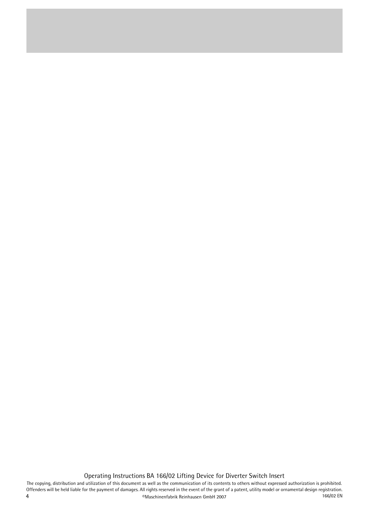Operating Instructions BA 166/02 Lifting Device for Diverter Switch Insert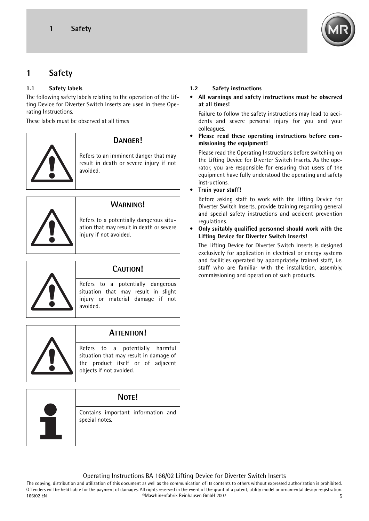

## <span id="page-4-0"></span>**1 Safety**

#### <span id="page-4-1"></span>**1.1 Safety labels**

The following safety labels relating to the operation of the Lifting Device for Diverter Switch Inserts are used in these Operating Instructions.

These labels must be observed at all times



#### **DANGER!**

Refers to an imminent danger that may result in death or severe injury if not avoided.



## **WARNING!**

Refers to a potentially dangerous situation that may result in death or severe injury if not avoided.



#### **CAUTION!**

Refers to a potentially dangerous situation that may result in slight injury or material damage if not avoided.



## **ATTENTION!**

Refers to a potentially harmful situation that may result in damage of the product itself or of adjacent objects if not avoided.

**NOTE!**

Contains important information and special notes.

#### <span id="page-4-2"></span>**1.2 Safety instructions**

**• All warnings and safety instructions must be observed at all times!**

Failure to follow the safety instructions may lead to accidents and severe personal injury for you and your colleagues.

**• Please read these operating instructions before commissioning the equipment!**

Please read the Operating Instructions before switching on the Lifting Device for Diverter Switch Inserts. As the operator, you are responsible for ensuring that users of the equipment have fully understood the operating and safety instructions.

**• Train your staff!**

Before asking staff to work with the Lifting Device for Diverter Switch Inserts, provide training regarding general and special safety instructions and accident prevention regulations.

**• Only suitably qualified personnel should work with the Lifting Device for Diverter Switch Inserts!**

The Lifting Device for Diverter Switch Inserts is designed exclusively for application in electrical or energy systems and facilities operated by appropriately trained staff, i.e. staff who are familiar with the installation, assembly, commissioning and operation of such products.

Operating Instructions BA 166/02 Lifting Device for Diverter Switch Inserts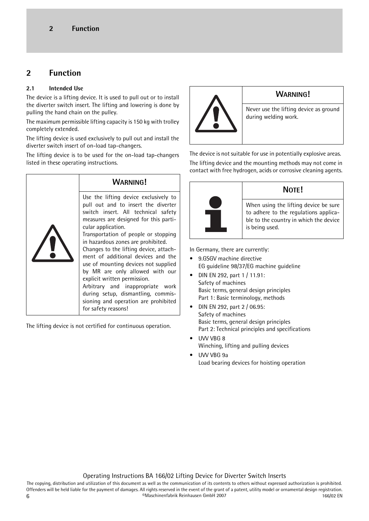## <span id="page-5-0"></span>**2 Function**

#### <span id="page-5-1"></span>**2.1 Intended Use**

The device is a lifting device. It is used to pull out or to install the diverter switch insert. The lifting and lowering is done by pulling the hand chain on the pulley.

The maximum permissible lifting capacity is 150 kg with trolley completely extended.

The lifting device is used exclusively to pull out and install the diverter switch insert of on-load tap-changers.

The lifting device is to be used for the on-load tap-changers listed in these operating instructions.

| <b>WARNING!</b>                                                                                                                                                                                                                                                                                                                                                                                                                                                                                                                                                                                      |
|------------------------------------------------------------------------------------------------------------------------------------------------------------------------------------------------------------------------------------------------------------------------------------------------------------------------------------------------------------------------------------------------------------------------------------------------------------------------------------------------------------------------------------------------------------------------------------------------------|
| Use the lifting device exclusively to<br>pull out and to insert the diverter<br>switch insert. All technical safety<br>measures are designed for this parti-<br>cular application.<br>Transportation of people or stopping<br>in hazardous zones are prohibited.<br>Changes to the lifting device, attach-<br>ment of additional devices and the<br>use of mounting devices not supplied<br>by MR are only allowed with our<br>explicit written permission.<br>Arbitrary and inappropriate work<br>during setup, dismantling, commis-<br>sioning and operation are prohibited<br>for safety reasons! |

The lifting device is not certified for continuous operation.



## **WARNING!**

Never use the lifting device as ground during welding work.

The device is not suitable for use in potentially explosive areas. The lifting device and the mounting methods may not come in contact with free hydrogen, acids or corrosive cleaning agents.



## **NOTE!**

When using the lifting device be sure to adhere to the regulations applicable to the country in which the device is being used.

In Germany, there are currently:

- 9.GSGV machine directive EG guideline 98/37/EG machine guideline
- DIN EN 292, part 1 / 11.91: Safety of machines Basic terms, general design principles Part 1: Basic terminology, methods
- DIN EN 292, part 2 / 06.95: Safety of machines Basic terms, general design principles Part 2: Technical principles and specifications
- UVV VBG 8 Winching, lifting and pulling devices
- UVV VBG 9a Load bearing devices for hoisting operation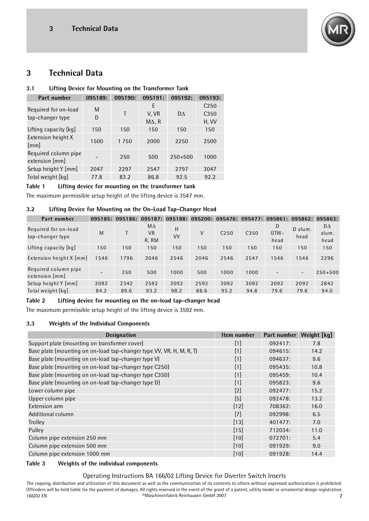

## <span id="page-6-0"></span>**3 Technical Data**

#### <span id="page-6-1"></span>**3.1 Lifting Device for Mounting on the Transformer Tank**

| Part number                              | 095189: | 095190: | 095191:             | 095192:     | 095193:                                      |
|------------------------------------------|---------|---------|---------------------|-------------|----------------------------------------------|
| Required for on-load<br>tap-changer type | M<br>D  |         | E<br>V, VR<br>MA, R | DΛ          | C <sub>250</sub><br>C <sub>350</sub><br>H, W |
| Lifting capacity [kg]                    | 150     | 150     | 150                 | 150         | 150                                          |
| Extension height X<br>[mm]               | 1500    | 1750    | 2000                | 2250        | 2500                                         |
| Required column pipe<br>extension [mm]   |         | 250     | 500                 | $250 + 500$ | 1000                                         |
| Setup height Y [mm]                      | 2047    | 2297    | 2547                | 2797        | 3047                                         |
| Total weight [kg]                        | 77.8    | 83.2    | 86.8                | 92.5        | 92.2                                         |

#### **Table 1 Lifting device for mounting on the transformer tank**

The maximum permissible setup height of the lifting device is 3547 mm.

#### <span id="page-6-2"></span>**3.2 Lifting Device for Mounting on the On-Load Tap-Changer Head**

| Part number                              | 095185: |      | 095186: 095187: 095188: 095200: 095476: 095477: 095861: 095862: 095863: |         |      |                  |                  |                      |                          |                     |
|------------------------------------------|---------|------|-------------------------------------------------------------------------|---------|------|------------------|------------------|----------------------|--------------------------|---------------------|
| Required for on-load<br>tap-changer type | M       |      | $M\Delta$<br><b>VR</b><br>R, RM                                         | H<br>VV | V    | C <sub>250</sub> | C <sub>350</sub> | D<br>$GTW -$<br>head | $D$ alum.<br>head        | DΔ<br>alum.<br>head |
| Lifting capacity [kg]                    | 150     | 150  | 150                                                                     | 150     | 150  | 150              | 150              | 150                  | 150                      | 150                 |
| Extension height $X$ [mm]                | 1546    | 1796 | 2046                                                                    | 2546    | 2046 | 2546             | 2547             | 1546                 | 1546                     | 2296                |
| Required column pipe<br>extension [mm]   |         | 250  | 500                                                                     | 1000    | 500  | 1000             | 1000             | -                    | $\overline{\phantom{a}}$ | $250 + 500$         |
| Setup height Y [mm]                      | 2092    | 2342 | 2592                                                                    | 3092    | 2592 | 3092             | 3092             | 2092                 | 2092                     | 2842                |
| To tal weight [kg]                       | 84.2    | 89.6 | 93.2                                                                    | 98.2    | 88.6 | 95.2             | 94.8             | 79.6                 | 79.6                     | 94.0                |

#### **Table 2 Lifting device for mounting on the on-load tap-changer head**

The maximum permissible setup height of the lifting device is 3592 mm.

#### <span id="page-6-3"></span>**3.3 Weights of the Individual Components**

| <b>Designation</b>                                                  | Item number       | Part number | Weight [kg] |
|---------------------------------------------------------------------|-------------------|-------------|-------------|
| Support plate (mounting on transformer cover)                       | $\lceil 1 \rceil$ | 092417:     | 7.8         |
| Base plate (mounting on on-load tap-changer type W, VR, H, M, R, T) | $[1]$             | 094615:     | 14.2        |
| Base plate (mounting on on-load tap-changer type V)                 | $\lceil 1 \rceil$ | 094637:     | 9.6         |
| Base plate (mounting on on-load tap-changer type C250)              | $\lceil 1 \rceil$ | 095435:     | 10.8        |
| Base plate (mounting on on-load tap-changer type C350)              | $[1]$             | 095459:     | 10.4        |
| Base plate (mounting on on-load tap-changer type D)                 | $\lceil 1 \rceil$ | 095823:     | 9.6         |
| Lower column pipe                                                   | $\lceil 2 \rceil$ | 092477:     | 15.2        |
| Upper column pipe                                                   | $\lceil 5 \rceil$ | 092478:     | 13.2        |
| Extension arm                                                       | $[12]$            | 708362:     | 16.0        |
| Additional column                                                   | $\lceil 7 \rceil$ | 092998:     | 6.5         |
| Trolley                                                             | $[13]$            | 401477:     | 7.0         |
| Pulley                                                              | $[15]$            | 712034:     | 11.0        |
| Column pipe extension 250 mm                                        | [10]              | 072701:     | 5.4         |
| Column pipe extension 500 mm                                        | $[10]$            | 091929:     | 9.0         |
| Column pipe extension 1000 mm                                       | $[10]$            | 091928:     | 14.4        |

#### **Table 3 Weights of the individual components**

#### Operating Instructions BA 166/02 Lifting Device for Diverter Switch Inserts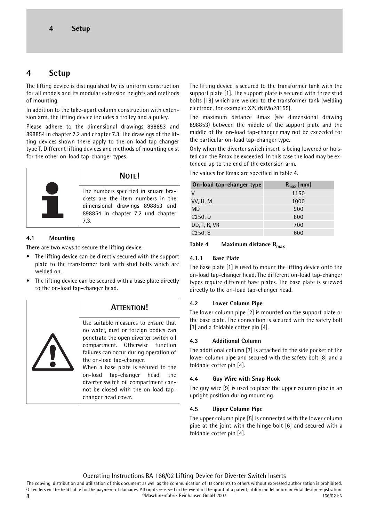## <span id="page-7-0"></span>**4 Setup**

The lifting device is distinguished by its uniform construction for all models and its modular extension heights and methods of mounting.

In addition to the take-apart column construction with extension arm, the lifting device includes a trolley and a pulley.

Please adhere to the dimensional drawings 898853 and 898854 in chapter 7.2 and chapter 7.3. The drawings of the lifting devices shown there apply to the on-load tap-changer type T. Different lifting devices and methods of mounting exist for the other on-load tap-changer types.



#### **NOTE!**

The numbers specified in square brackets are the item numbers in the dimensional drawings 898853 and 898854 in [chapter 7.2](#page-13-0) und [chapter](#page-14-0)  [7.3.](#page-14-0)

#### <span id="page-7-1"></span>**4.1 Mounting**

There are two ways to secure the lifting device.

- The lifting device can be directly secured with the support plate to the transformer tank with stud bolts which are welded on.
- The lifting device can be secured with a base plate directly to the on-load tap-changer head.



#### **ATTENTION!**

Use suitable measures to ensure that no water, dust or foreign bodies can penetrate the open diverter switch oil compartment. Otherwise function failures can occur during operation of the on-load tap-changer.

When a base plate is secured to the on-load tap-changer head, the diverter switch oil compartment cannot be closed with the on-load tapchanger head cover.

The lifting device is secured to the transformer tank with the support plate [1]. The support plate is secured with three stud bolts [18] which are welded to the transformer tank (welding electrode, for example: X2CrNiMo28155).

The maximum distance Rmax (see dimensional drawing 898853) between the middle of the support plate and the middle of the on-load tap-changer may not be exceeded for the particular on-load tap-changer type.

Only when the diverter switch insert is being lowered or hoisted can the Rmax be exceeded. In this case the load may be extended up to the end of the extension arm.

The values for Rmax are specified in [table 4](#page-7-7).

| On-load tap-changer type | $R_{\text{max}}$ [mm] |
|--------------------------|-----------------------|
|                          | 1150                  |
| VV, H, M                 | 1000                  |
| <b>MD</b>                | 900                   |
| $C250$ , D               | 800                   |
| DD, T, R, VR             | 700                   |
| C350, E                  | 600                   |

#### <span id="page-7-7"></span>Table 4 Maximum distance R<sub>max</sub>

#### <span id="page-7-2"></span>**4.1.1 Base Plate**

The base plate [1] is used to mount the lifting device onto the on-load tap-changer head. The different on-load tap-changer types require different base plates. The base plate is screwed directly to the on-load tap-changer head.

#### <span id="page-7-3"></span>**4.2 Lower Column Pipe**

The lower column pipe [2] is mounted on the support plate or the base plate. The connection is secured with the safety bolt [3] and a foldable cotter pin [4].

#### <span id="page-7-4"></span>**4.3 Additional Column**

The additional column [7] is attached to the side pocket of the lower column pipe and secured with the safety bolt [8] and a foldable cotter pin [4].

#### <span id="page-7-5"></span>**4.4 Guy Wire with Snap Hook**

The guy wire [9] is used to place the upper column pipe in an upright position during mounting.

#### <span id="page-7-6"></span>**4.5 Upper Column Pipe**

The upper column pipe [5] is connected with the lower column pipe at the joint with the hinge bolt [6] and secured with a foldable cotter pin [4].

Operating Instructions BA 166/02 Lifting Device for Diverter Switch Inserts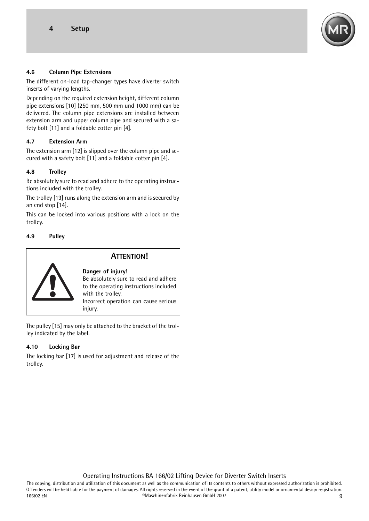

#### <span id="page-8-0"></span>**4.6 Column Pipe Extensions**

The different on-load tap-changer types have diverter switch inserts of varying lengths.

Depending on the required extension height, different column pipe extensions [10] (250 mm, 500 mm und 1000 mm) can be delivered. The column pipe extensions are installed between extension arm and upper column pipe and secured with a safety bolt [11] and a foldable cotter pin [4].

#### <span id="page-8-1"></span>**4.7 Extension Arm**

The extension arm [12] is slipped over the column pipe and secured with a safety bolt [11] and a foldable cotter pin [4].

#### <span id="page-8-2"></span>**4.8 Trolley**

Be absolutely sure to read and adhere to the operating instructions included with the trolley.

The trolley [13] runs along the extension arm and is secured by an end stop [14].

This can be locked into various positions with a lock on the trolley.

#### <span id="page-8-3"></span>**4.9 Pulley**



The pulley [15] may only be attached to the bracket of the trolley indicated by the label.

#### <span id="page-8-4"></span>**4.10 Locking Bar**

The locking bar [17] is used for adjustment and release of the trolley.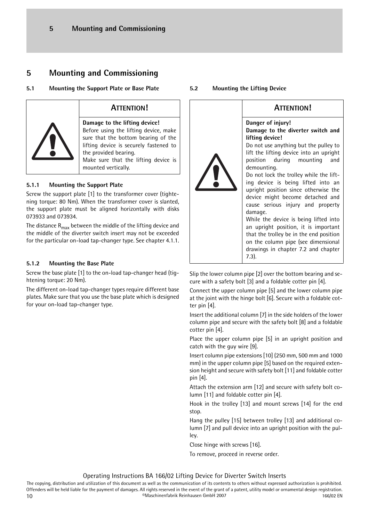## <span id="page-9-0"></span>**5 Mounting and Commissioning**

#### <span id="page-9-1"></span>**5.1 Mounting the Support Plate or Base Plate**



#### **ATTENTION!**

**Damage to the lifting device!** Before using the lifting device, make sure that the bottom bearing of the lifting device is securely fastened to the provided bearing. Make sure that the lifting device is mounted vertically.

#### <span id="page-9-2"></span>**5.1.1 Mounting the Support Plate**

Screw the support plate [1] to the transformer cover (tightening torque: 80 Nm). When the transformer cover is slanted, the support plate must be aligned horizontally with disks 073933 and 073934.

The distance  $R_{\text{max}}$  between the middle of the lifting device and the middle of the diverter switch insert may not be exceeded for the particular on-load tap-changer type. See [chapter 4.1.1](#page-7-2).

#### <span id="page-9-3"></span>**5.1.2 Mounting the Base Plate**

Screw the base plate [1] to the on-load tap-changer head (tightening torque: 20 Nm).

The different on-load tap-changer types require different base plates. Make sure that you use the base plate which is designed for your on-load tap-changer type.

<span id="page-9-4"></span>**5.2 Mounting the Lifting Device**



## **ATTENTION!**

#### **Danger of injury! Damage to the diverter switch and lifting device!**

Do not use anything but the pulley to lift the lifting device into an upright position during mounting and demounting.

Do not lock the trolley while the lifting device is being lifted into an upright position since otherwise the device might become detached and cause serious injury and property damage.

While the device is being lifted into an upright position, it is important that the trolley be in the end position on the column pipe (see dimensional drawings in [chapter 7.2](#page-13-0) and [chapter](#page-14-0) [7.3](#page-14-0)).

Slip the lower column pipe [2] over the bottom bearing and secure with a safety bolt [3] and a foldable cotter pin [4].

Connect the upper column pipe [5] and the lower column pipe at the joint with the hinge bolt [6]. Secure with a foldable cotter pin [4].

Insert the additional column [7] in the side holders of the lower column pipe and secure with the safety bolt [8] and a foldable cotter pin [4].

Place the upper column pipe [5] in an upright position and catch with the guy wire [9].

Insert column pipe extensions [10] (250 mm, 500 mm and 1000 mm) in the upper column pipe [5] based on the required extension height and secure with safety bolt [11] and foldable cotter pin [4].

Attach the extension arm [12] and secure with safety bolt column [11] and foldable cotter pin [4].

Hook in the trolley [13] and mount screws [14] for the end stop.

Hang the pulley [15] between trolley [13] and additional column [7] and pull device into an upright position with the pulley.

Close hinge with screws [16].

To remove, proceed in reverse order.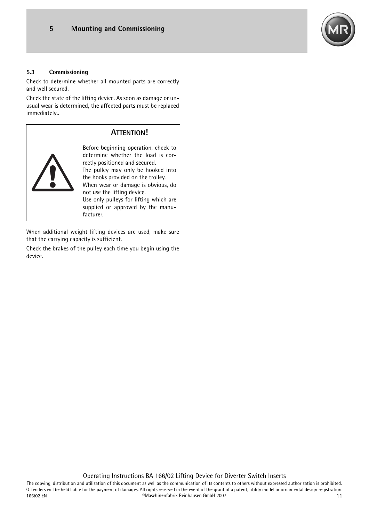

#### <span id="page-10-0"></span>**5.3 Commissioning**

Check to determine whether all mounted parts are correctly and well secured.

Check the state of the lifting device. As soon as damage or unusual wear is determined, the affected parts must be replaced immediately..

| <b>ATTENTION!</b>                                                                                                                                                                                                                                                                                                                                        |
|----------------------------------------------------------------------------------------------------------------------------------------------------------------------------------------------------------------------------------------------------------------------------------------------------------------------------------------------------------|
| Before beginning operation, check to<br>determine whether the load is cor-<br>rectly positioned and secured.<br>The pulley may only be hooked into<br>the hooks provided on the trolley.<br>When wear or damage is obvious, do<br>not use the lifting device.<br>Use only pulleys for lifting which are<br>supplied or approved by the manu-<br>facturer |

When additional weight lifting devices are used, make sure that the carrying capacity is sufficient.

Check the brakes of the pulley each time you begin using the device.

Operating Instructions BA 166/02 Lifting Device for Diverter Switch Inserts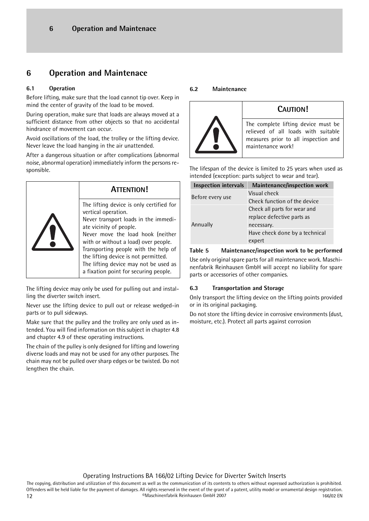## <span id="page-11-0"></span>**6 Operation and Maintenace**

#### <span id="page-11-1"></span>**6.1 Operation**

Before lifting, make sure that the load cannot tip over. Keep in mind the center of gravity of the load to be moved.

During operation, make sure that loads are always moved at a sufficient distance from other objects so that no accidental hindrance of movement can occur.

Avoid oscillations of the load, the trolley or the lifting device. Never leave the load hanging in the air unattended.

After a dangerous situation or after complications (abnormal noise, abnormal operation) immediately inform the persons responsible.



The lifting device may only be used for pulling out and installing the diverter switch insert.

Never use the lifting device to pull out or release wedged-in parts or to pull sideways.

Make sure that the pulley and the trolley are only used as intended. You will find information on this subject in [chapter 4.8](#page-8-2) and [chapter 4.9](#page-8-3) of these operating instructions.

The chain of the pulley is only designed for lifting and lowering diverse loads and may not be used for any other purposes. The chain may not be pulled over sharp edges or be twisted. Do not lengthen the chain.

#### <span id="page-11-2"></span>**6.2 Maintenance**



## **CAUTION!**

The complete lifting device must be relieved of all loads with suitable measures prior to all inspection and maintenance work!

The lifespan of the device is limited to 25 years when used as intended (exception: parts subject to wear and tear).

| <b>Inspection intervals</b> | Maintenance/inspection work    |
|-----------------------------|--------------------------------|
| Before every use            | Visual check                   |
|                             | Check function of the device   |
|                             | Check all parts for wear and   |
|                             | replace defective parts as     |
| Annually                    | necessary.                     |
|                             | Have check done by a technical |
|                             | expert                         |

#### **Table 5 Maintenance/inspection work to be performed**

Use only original spare parts for all maintenance work. Maschinenfabrik Reinhausen GmbH will accept no liability for spare parts or accessories of other companies.

#### <span id="page-11-3"></span>**6.3 Transportation and Storage**

Only transport the lifting device on the lifting points provided or in its original packaging.

Do not store the lifting device in corrosive environments (dust, moisture, etc.). Protect all parts against corrosion

Operating Instructions BA 166/02 Lifting Device for Diverter Switch Inserts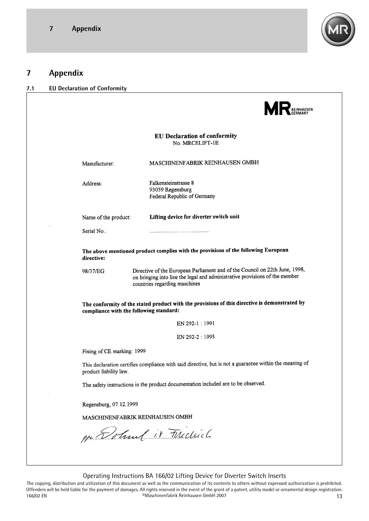

٦

# <span id="page-12-0"></span>**7 Appendix**

#### <span id="page-12-1"></span>**7.1 EU Declaration of Conformity**

|                            | REINHAUSEN                                                                                                                                                                                  |
|----------------------------|---------------------------------------------------------------------------------------------------------------------------------------------------------------------------------------------|
|                            | <b>EU Declaration of conformity</b><br>No. MRCELIFT-1E                                                                                                                                      |
| Manufacturer:              | MASCHINENFABRIK REINHAUSEN GMBH                                                                                                                                                             |
| Address:                   | Falkensteinstrasse 8<br>93059 Regensburg<br>Federal Republic of Germany                                                                                                                     |
| Name of the product:       | Lifting device for diverter switch unit                                                                                                                                                     |
| Serial No.:                |                                                                                                                                                                                             |
| directive:                 | The above mentioned product complies with the provisions of the following European                                                                                                          |
| 98/37/EG                   | Directive of the European Parliament and of the Council on 22th June, 1998,<br>on bringing into line the legal and administrative provisions of the member<br>countries regarding maschines |
|                            | The conformity of the stated product with the provisions of this directive is demonstrated by<br>compliance with the following standard:                                                    |
|                            | EN 292-1:1991                                                                                                                                                                               |
|                            | EN 292-2:1995                                                                                                                                                                               |
| Fixing of CE marking: 1999 |                                                                                                                                                                                             |
| product liability law.     | This declaration certifies compliance with said directive, but is not a guarantee within the meaning of                                                                                     |
|                            | The safety instructions in the product documentation included are to be observed.                                                                                                           |
| Regensburg, 07.12.1999     |                                                                                                                                                                                             |
|                            | MASCHINENFABRIK REINHAUSEN GMBH                                                                                                                                                             |
|                            | pp Doland it Michiel                                                                                                                                                                        |
|                            |                                                                                                                                                                                             |

#### Operating Instructions BA 166/02 Lifting Device for Diverter Switch Inserts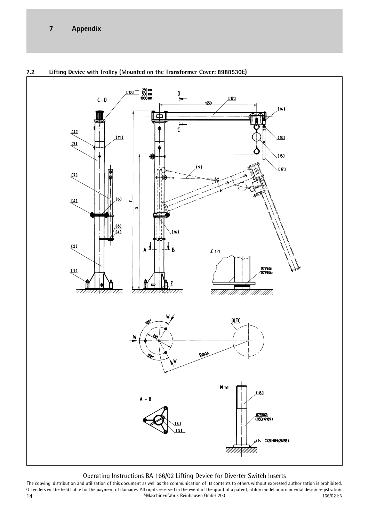## **7 Appendix**



#### <span id="page-13-0"></span>**7.2 Lifting Device with Trolley (Mounted on the Transformer Cover: 8988530E)**

#### Operating Instructions BA 166/02 Lifting Device for Diverter Switch Inserts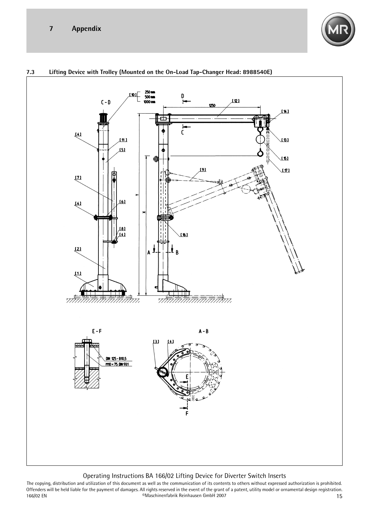



#### <span id="page-14-0"></span>**7.3 Lifting Device with Trolley (Mounted on the On-Load Tap-Changer Head: 8988540E)**

#### Operating Instructions BA 166/02 Lifting Device for Diverter Switch Inserts